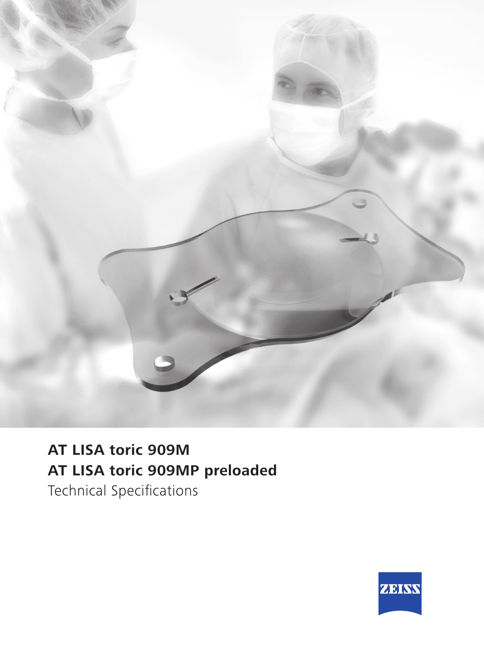

## **AT LISA toric 909M AT LISA toric 909MP preloaded**

Technical Specifications